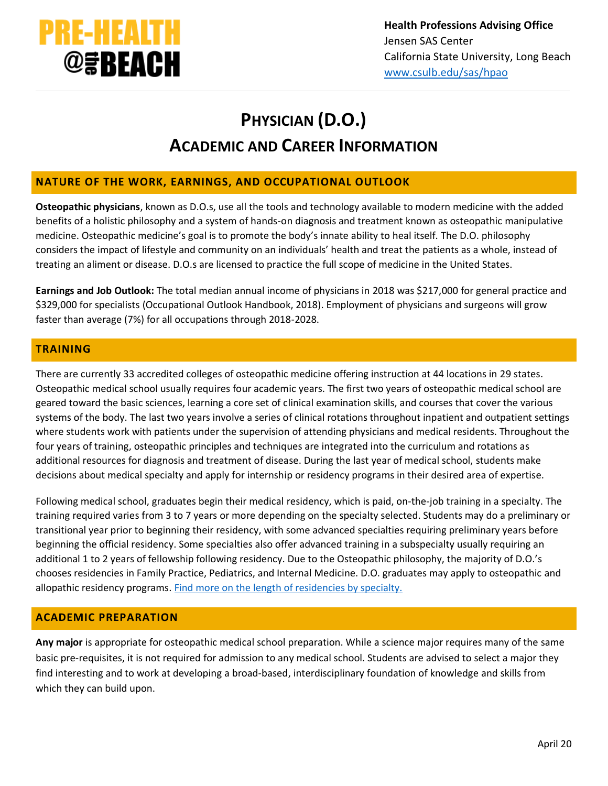

# **PHYSICIAN (D.O.) ACADEMIC AND CAREER INFORMATION**

## **NATURE OF THE WORK, EARNINGS, AND OCCUPATIONAL OUTLOOK**

**Osteopathic physicians**, known as D.O.s, use all the tools and technology available to modern medicine with the added benefits of a holistic philosophy and a system of hands-on diagnosis and treatment known as osteopathic manipulative medicine. Osteopathic medicine's goal is to promote the body's innate ability to heal itself. The D.O. philosophy considers the impact of lifestyle and community on an individuals' health and treat the patients as a whole, instead of treating an aliment or disease. D.O.s are licensed to practice the full scope of medicine in the United States.

**Earnings and Job Outlook:** The total median annual income of physicians in 2018 was \$217,000 for general practice and \$329,000 for specialists (Occupational Outlook Handbook, 2018). Employment of physicians and surgeons will grow faster than average (7%) for all occupations through 2018-2028.

# **TRAINING**

There are currently 33 accredited colleges of osteopathic medicine offering instruction at 44 locations in 29 states. Osteopathic medical school usually requires four academic years. The first two years of osteopathic medical school are geared toward the basic sciences, learning a core set of clinical examination skills, and courses that cover the various systems of the body. The last two years involve a series of clinical rotations throughout inpatient and outpatient settings where students work with patients under the supervision of attending physicians and medical residents. Throughout the four years of training, osteopathic principles and techniques are integrated into the curriculum and rotations as additional resources for diagnosis and treatment of disease. During the last year of medical school, students make decisions about medical specialty and apply for internship or residency programs in their desired area of expertise.

Following medical school, graduates begin their medical residency, which is paid, on-the-job training in a specialty. The training required varies from 3 to 7 years or more depending on the specialty selected. Students may do a preliminary or transitional year prior to beginning their residency, with some advanced specialties requiring preliminary years before beginning the official residency. Some specialties also offer advanced training in a subspecialty usually requiring an additional 1 to 2 years of fellowship following residency. Due to the Osteopathic philosophy, the majority of D.O.'s chooses residencies in Family Practice, Pediatrics, and Internal Medicine. D.O. graduates may apply to osteopathic and allopathic residency programs. [Find more on the length of residencies by specialty.](https://residency.wustl.edu/residencies/length-of-residencies/)

## **ACADEMIC PREPARATION**

**Any major** is appropriate for osteopathic medical school preparation. While a science major requires many of the same basic pre-requisites, it is not required for admission to any medical school. Students are advised to select a major they find interesting and to work at developing a broad-based, interdisciplinary foundation of knowledge and skills from which they can build upon.